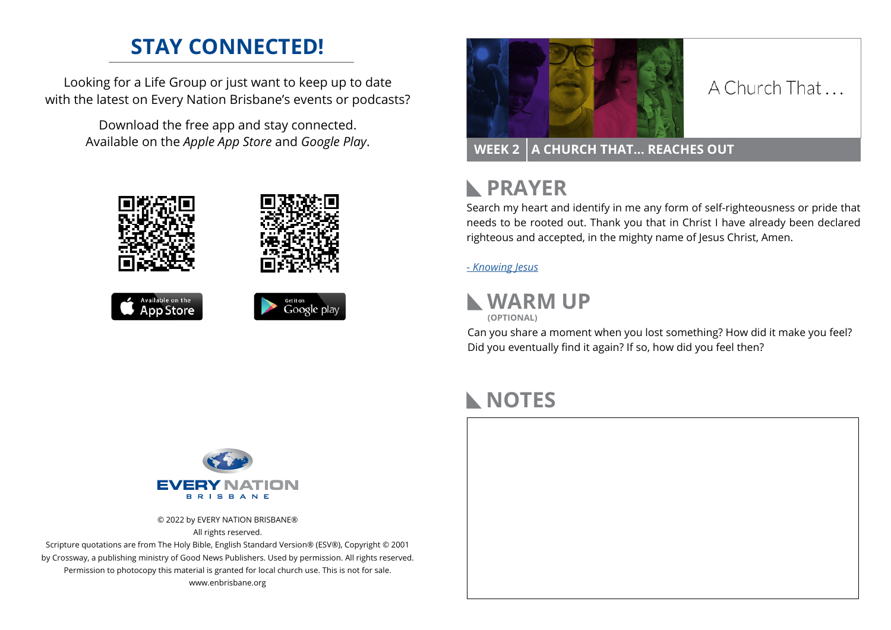# **STAY CONNECTED!**

Looking for a Life Group or just want to keep up to date with the latest on Every Nation Brisbane's events or podcasts?

> Download the free app and stay connected. Available on the *Apple App Store* and *Google Play*.









### A Church That

### **WEEK 2 A CHURCH THAT… REACHES OUT**

### **RAYER**

Search my heart and identify in me any form of self-righteousness or pride that needs to be rooted out. Thank you that in Christ I have already been declared righteous and accepted, in the mighty name of Jesus Christ, Amen.

#### *[- K](https://prayer.knowing-jesus.com/luke/15)nowing Jesus*



Can you share a moment when you lost something? How did it make you feel? Did you eventually find it again? If so, how did you feel then?

## **NOTES**





© 2022 by EVERY NATION BRISBANE® All rights reserved.

Scripture quotations are from The Holy Bible, English Standard Version® (ESV®), Copyright © 2001 by Crossway, a publishing ministry of Good News Publishers. Used by permission. All rights reserved. Permission to photocopy this material is granted for local church use. This is not for sale. www.enbrisbane.org